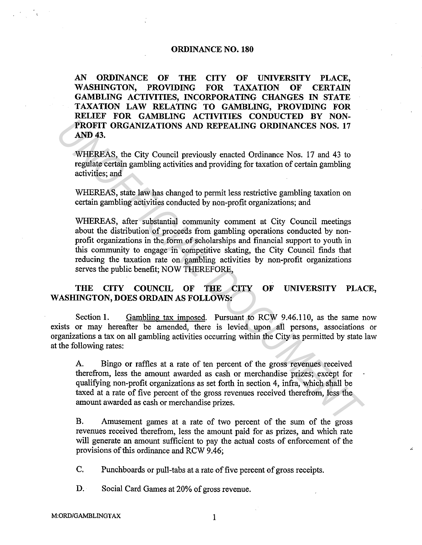## **ORDINANCE NO. 180**

**AN ORDINANCE OF THE CITY OF UNIVERSITY PLACE, WASHINGTON, PROVIDING FOR TAXATION OF CERTAIN GAMBLING ACTIVITIES, INCORPORATING CHANGES IN STATE TAXATION LAW RELATING TO GAMBLING, PROVIDING FOR RELIEF FOR GAMBLING ACTIVITIES CONDUCTED BY NON-PROFIT ORGANIZATIONS AND REPEALING ORDINANCES NOS. 17 AND43.** 

WHEREAS, the City Council previously enacted Ordinance Nos. 17 and 43 to regulate certain gambling activities and providing for taxation of certain gambling activities; and

WHEREAS, state law has changed to permit less restrictive gambling taxation on certain gambling activities conducted by non-profit organizations; and

WHEREAS, after substantial community comment at City Council meetings about the distribution of proceeds from gambling operations conducted by nonprofit organizations in the form of scholarships and financial support to youth in this community to engage in competitive skating, the City Council finds that reducing the taxation rate on gambling activities by non-profit organizations serves the public benefit; NOW THEREFORE, **PROFIT ORGANIZATIONS AND REPEALING ORDINANCES NOS. 17**<br>**PROFIT ORGANIZATIONS AND REPEALING ORDINANCES NOS. 17**<br>**AND 43.**<br>**WHEREAS, the City Council previously enacted Ordinance Nos. 17 and 43 to<br>regulate certain gambling** 

## **THE CITY COUNCIL OF THE CITY OF UNIVERSITY PLACE, WASHINGTON, DOES ORDAIN AS FOLLOWS:**

Section 1. Gambling tax imposed. Pursuant to RCW 9.46.110, as the same now exists or may hereafter be amended, there is levied upon all persons, associations or organizations a tax on all gambling activities occurring within the City as permitted by state law at the following rates:

A. Bingo or raffles at a rate of ten percent of the gross revenues received therefrom, less the amount awarded as cash or merchandise prizes; except for qualifying non-profit organizations as set forth in section 4, infra, which shall be taxed at a rate of five percent of the gross revenues received therefrom, less the amount awarded as cash or merchandise prizes.

B. Amusement games at a rate of two percent of the sum of the gross revenues received therefrom, less the amount paid for as prizes, and which rate will generate an amount sufficient to pay the actual costs of enforcement of the provisions of this ordinance and RCW 9.46;

C. Punchboards or pull-tabs at a rate of five percent of gross receipts.

D. Social Card Games at 20% of gross revenue.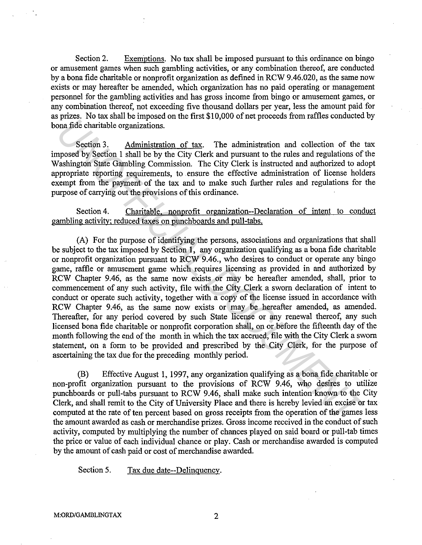Section 2. Exemptions. No tax shall be imposed pursuant to this ordinance on bingo or amusement games when such gambling activities, or any combination thereof, are conducted by a bona fide charitable or nonprofit organization as defined in RCW 9.46.020, as the same now exists or may hereafter be amended, which organization has no paid operating or management personnel for the gambling activities and has gross income from bingo or amusement games, or any combination thereof, not exceeding five thousand dollars per year, less the amount paid for as prizes. No tax shall be imposed on the first \$10,000 of net proceeds from raffles conducted by bona fide charitable organizations.

Section 3. Administration of tax. The administration and collection of the tax imposed by Section 1 shall be by the City Clerk and pursuant to the rules and regulations of the Washington State Gambling Commission. The City Clerk is instructed and authorized to adopt appropriate reporting requirements, to ensure the effective administration of license holders exempt from the payment of the tax and to make such further rules and regulations for the purpose of carrying out the provisions of this ordinance.

Section 4. Charitable, nonprofit organization--Declaration of intent to conduct gambling activity; reduced taxes on punchboards and pull-tabs.

(A) For the purpose of identifying the persons, associations and organizations that shall be subject to the tax imposed by Section 1, any organization qualifying as a bona fide charitable or nonprofit organization pursuant to RCW 9.46., who desires to conduct or operate any bingo game, raffle or amusement game which requires licensing as provided in and authorized by RCW Chapter 9.46, as the same now exists or may be hereafter amended, shall, prior to commencement of any such activity, file with the City Clerk a sworn declaration of intent to conduct or operate such activity, together with a copy of the license issued in accordance with RCW Chapter 9.46, as the same now exists or may be hereafter amended, as amended. Thereafter, for any period covered by such State license or any renewal thereof, any such licensed bona fide charitable or nonprofit corporation shall, on or before the fifteenth day of the month following the end of the month in which the tax accrued, file with the City Clerk a sworn statement, on a form to be provided and prescribed by the City Clerk, for the purpose of ascertaining the tax due for the preceding monthly period. *PHAGE.*<br>
Yendow The diaministration of tax. The administration and collection of the phage.<br>
Yendow figure or the mass of the CIV CHC and pursuant to the rules and regulations of<br>
The phage of Section 1 shall be by the Ci

(B) Effective August 1, 1997, any organization qualifying as a bona fide charitable or non-profit organization pursuant to the provisions of RCW 9 .46, who desires to utilize punchboards or pull-tabs pursuant to RCW 9.46, shall make such intention known to the City Clerk, and shall remit to the City of University Place and there is hereby levied an excise or tax computed at the rate of ten percent based on gross receipts from the operation of the games less the amount awarded as cash or merchandise prizes. Gross income received in the conduct of such activity, computed by multiplying the number of chances played on said board or pull-tab times the price or value of each individual chance or play. Cash or merchandise awarded is computed by the amount of cash paid or cost of merchandise awarded.

Section 5. Tax due date--Delinguency.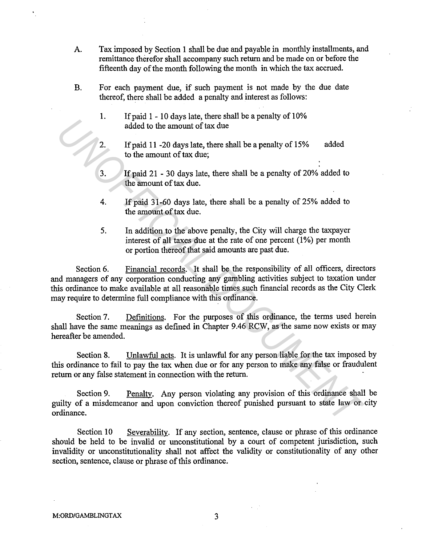- A. Tax imposed by Section 1 shall be due and payable in monthly installments, and remittance therefor shall accompany such return and be made on or before the fifteenth day of the month following the month in which the tax accrued.
- B. For each payment due, if such payment is not made by the due date thereof, there shall be added a penalty and interest as follows:
	- 1. If paid 1 10 days late, there shall be a penalty of 10% added to the amount of tax due
	- 2. If paid 11 -20 days late, there shall be a penalty of 15% to the amount of tax due; added
	- 3. If paid 21 30 days late, there shall be a penalty of 20% added to the amount of tax due.
	- 4. If paid 31-60 days late, there shall be a penalty of 25% added to the amount of tax due.
	- 5. In addition to the above penalty, the City will charge the taxpayer interest of all taxes due at the rate of one percent  $(1%)$  per month or portion thereof that said amounts are past due.

Section 6. Financial records. It shall be the responsibility of all officers, directors and managers of any corporation conducting any gambling activities subject to taxation under this ordinance to make available at all reasonable times such financial records as the City Clerk may require to determine full compliance with this ordinance. **Example 1** *UNDA Blue Constant Constant Constant Constant Constant Constant Constant Constant Constant Constant Constant Constant Constant Constant Constant Constant Constant Constant Constant Constant Constant Constant* 

Section 7. Definitions. For the purposes of this ordinance, the terms used herein shall have the same meanings as defined in Chapter 9.46 RCW, as the same now exists or may hereafter be amended.

Section 8. Unlawful acts. It is unlawful for any person liable for the tax imposed by this ordinance to fail to pay the tax when due or for any person to make any false or fraudulent return or any false statement in connection with the return.

Section 9. Penalty. Any person violating any provision of this ordinance shall be guilty of a misdemeanor and upon conviction thereof punished pursuant to state law or city ordinance.

Section 10 Severability. If any section, sentence, clause or phrase of this ordinance should be held to be invalid or unconstitutional by a court of competent jurisdiction, such invalidity or unconstitutionality shall not affect the validity or constitutionality of any other section, sentence, clause or phrase of this ordinance.